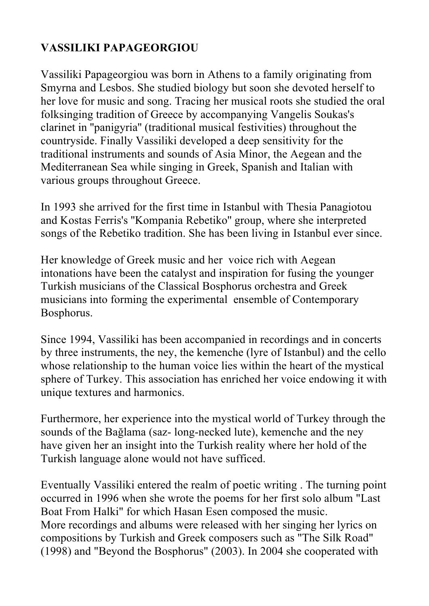# **VASSILIKI PAPAGEORGIOU**

Vassiliki Papageorgiou was born in Athens to a family originating from Smyrna and Lesbos. She studied biology but soon she devoted herself to her love for music and song. Tracing her musical roots she studied the oral folksinging tradition of Greece by accompanying Vangelis Soukas's clarinet in ''panigyria'' (traditional musical festivities) throughout the countryside. Finally Vassiliki developed a deep sensitivity for the traditional instruments and sounds of Asia Minor, the Aegean and the Mediterranean Sea while singing in Greek, Spanish and Italian with various groups throughout Greece.

In 1993 she arrived for the first time in Istanbul with Thesia Panagiotou and Kostas Ferris's ''Kompania Rebetiko'' group, where she interpreted songs of the Rebetiko tradition. She has been living in Istanbul ever since.

Her knowledge of Greek music and her voice rich with Aegean intonations have been the catalyst and inspiration for fusing the younger Turkish musicians of the Classical Bosphorus orchestra and Greek musicians into forming the experimental ensemble of Contemporary Bosphorus.

Since 1994, Vassiliki has been accompanied in recordings and in concerts by three instruments, the ney, the kemenche (lyre of Istanbul) and the cello whose relationship to the human voice lies within the heart of the mystical sphere of Turkey. This association has enriched her voice endowing it with unique textures and harmonics.

Furthermore, her experience into the mystical world of Turkey through the sounds of the Bağlama (saz- long-necked lute), kemenche and the ney have given her an insight into the Turkish reality where her hold of the Turkish language alone would not have sufficed.

Eventually Vassiliki entered the realm of poetic writing . The turning point occurred in 1996 when she wrote the poems for her first solo album "Last Boat From Halki" for which Hasan Esen composed the music. More recordings and albums were released with her singing her lyrics on compositions by Turkish and Greek composers such as "The Silk Road" (1998) and "Beyond the Bosphorus" (2003). In 2004 she cooperated with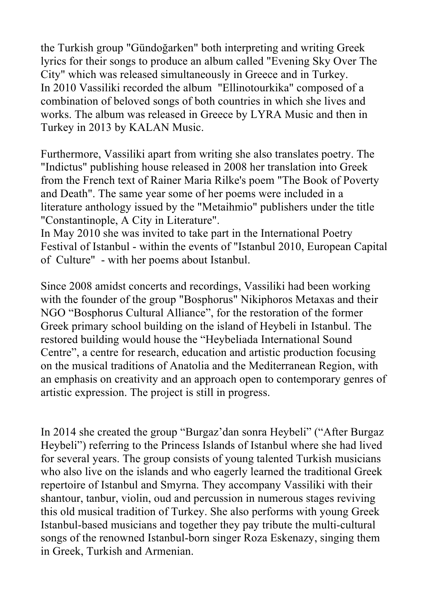the Turkish group "Gündoğarken" both interpreting and writing Greek lyrics for their songs to produce an album called "Evening Sky Over The City" which was released simultaneously in Greece and in Turkey. In 2010 Vassiliki recorded the album "Ellinotourkika" composed of a combination of beloved songs of both countries in which she lives and works. The album was released in Greece by LYRA Music and then in Turkey in 2013 by KALAN Music.

Furthermore, Vassiliki apart from writing she also translates poetry. The "Indictus" publishing house released in 2008 her translation into Greek from the French text of Rainer Maria Rilke's poem "The Book of Poverty and Death". The same year some of her poems were included in a literature anthology issued by the "Metaihmio" publishers under the title "Constantinople, A City in Literature".

In May 2010 she was invited to take part in the International Poetry Festival of Istanbul - within the events of "Istanbul 2010, European Capital of Culture" - with her poems about Istanbul.

Since 2008 amidst concerts and recordings, Vassiliki had been working with the founder of the group "Bosphorus" Nikiphoros Metaxas and their NGO "Bosphorus Cultural Alliance", for the restoration of the former Greek primary school building on the island of Heybeli in Istanbul. The restored building would house the "Heybeliada International Sound Centre", a centre for research, education and artistic production focusing on the musical traditions of Anatolia and the Mediterranean Region, with an emphasis on creativity and an approach open to contemporary genres of artistic expression. The project is still in progress.

In 2014 she created the group "Burgaz'dan sonra Heybeli" ("After Burgaz Heybeli") referring to the Princess Islands of Istanbul where she had lived for several years. The group consists of young talented Turkish musicians who also live on the islands and who eagerly learned the traditional Greek repertoire of Istanbul and Smyrna. They accompany Vassiliki with their shantour, tanbur, violin, oud and percussion in numerous stages reviving this old musical tradition of Turkey. She also performs with young Greek Istanbul-based musicians and together they pay tribute the multi-cultural songs of the renowned Istanbul-born singer Roza Eskenazy, singing them in Greek, Turkish and Armenian.